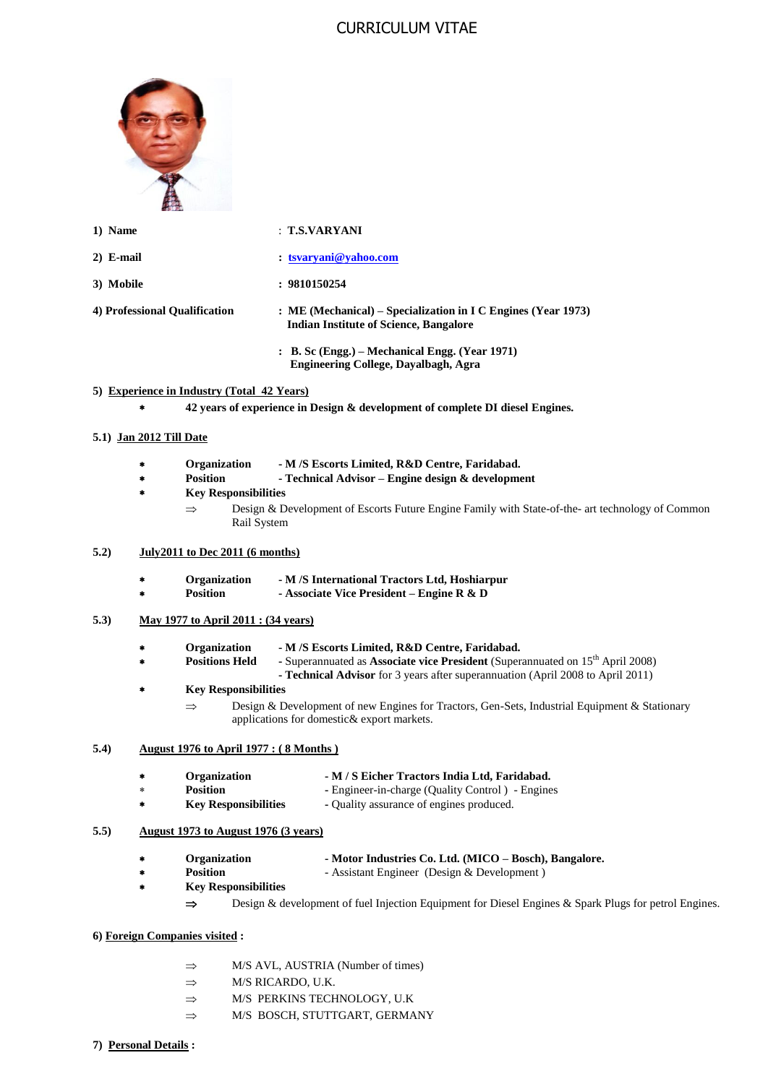# CURRICULUM VITAE



- 
- 
- **1) Name** : **T.S.VARYANI**
- **2) E-mail : [tsvaryani@yahoo.com](mailto:tsvaryani@yahoo.com)**
- **3) Mobile : 9810150254**
- **4) Professional Qualification : ME (Mechanical) – Specialization in I C Engines (Year 1973) Indian Institute of Science, Bangalore**
	- **: B. Sc (Engg.) – Mechanical Engg. (Year 1971) Engineering College, Dayalbagh, Agra**

## **5) Experience in Industry (Total 42 Years)**

**42 years of experience in Design & development of complete DI diesel Engines.**

### **5.1) Jan 2012 Till Date**

- **Organization - M /S Escorts Limited, R&D Centre, Faridabad.**
- **Position - Technical Advisor – Engine design & development**
- **Key Responsibilities**
	- $\Rightarrow$  Design & Development of Escorts Future Engine Family with State-of-the- art technology of Common Rail System

#### **5.2) July2011 to Dec 2011 (6 months)**

- **Organization - M /S International Tractors Ltd, Hoshiarpur**
- **Position - Associate Vice President – Engine R & D**

#### **5.3) May 1977 to April 2011 : (34 years)**

- **Organization - M /S Escorts Limited, R&D Centre, Faridabad.**
	- **Positions Held -** Superannuated as **Associate vice President** (Superannuated on 15<sup>th</sup> April 2008)
	- **- Technical Advisor** for 3 years after superannuation (April 2008 to April 2011)

## **Key Responsibilities**

 $\Rightarrow$  Design & Development of new Engines for Tractors, Gen-Sets, Industrial Equipment & Stationary applications for domestic& export markets.

#### **5.4) August 1976 to April 1977 : ( 8 Months )**

- **Organization - M / S Eicher Tractors India Ltd, Faridabad.**
	- Position -- Engineer-in-charge (Quality Control) Engines
- **Key Responsibilities -** Quality assurance of engines produced.

# **5.5) August 1973 to August 1976 (3 years)**

- **Organization - Motor Industries Co. Ltd. (MICO – Bosch), Bangalore.**
	- **Position** Assistant Engineer (Design & Development)
- **Key Responsibilities** 
	- $\Rightarrow$  Design & development of fuel Injection Equipment for Diesel Engines & Spark Plugs for petrol Engines.
- **6) Foreign Companies visited :**
	- $\Rightarrow$  M/S AVL, AUSTRIA (Number of times)
	- $\Rightarrow$  M/S RICARDO, U.K.
	- $\Rightarrow$  M/S PERKINS TECHNOLOGY, U.K
	- $\Rightarrow$  M/S BOSCH, STUTTGART, GERMANY
- **7) Personal Details :**